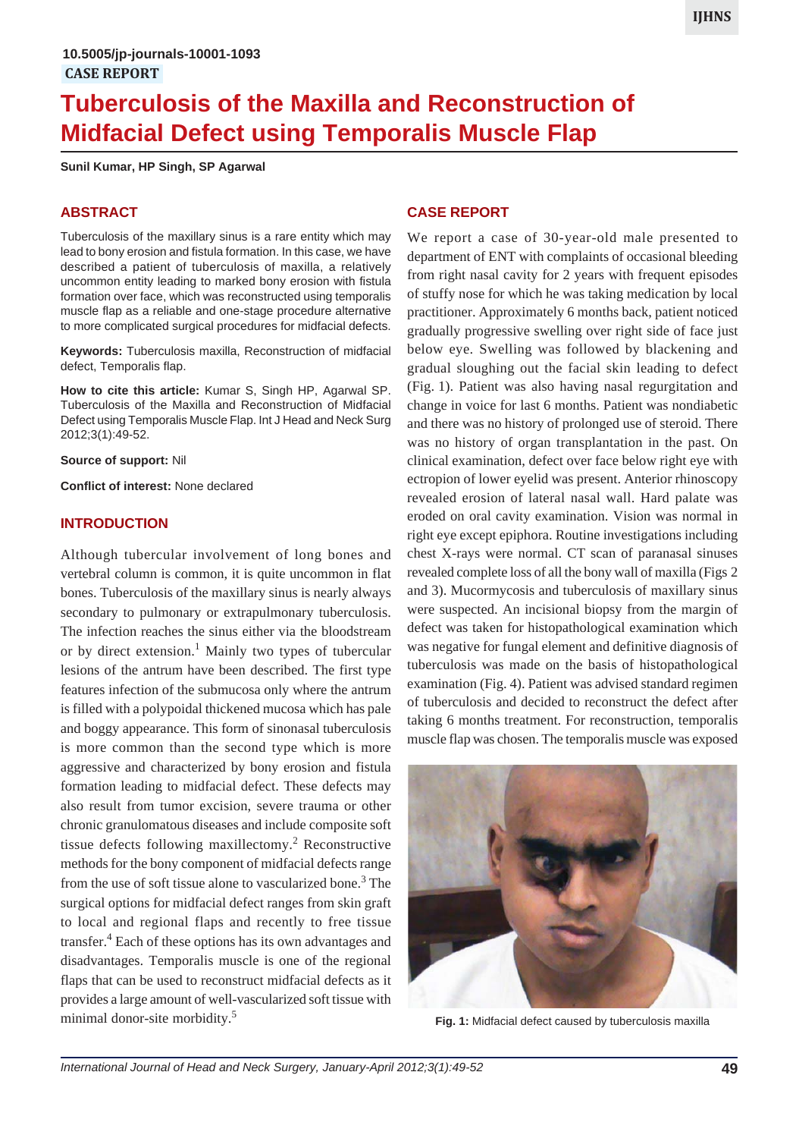# **Tuberculosis of the Maxilla and Reconstruction of Midfacial Defect using Temporalis Muscle Flap**

**Sunil Kumar, HP Singh, SP Agarwal**

# **ABSTRACT**

Tuberculosis of the maxillary sinus is a rare entity which may lead to bony erosion and fistula formation. In this case, we have described a patient of tuberculosis of maxilla, a relatively uncommon entity leading to marked bony erosion with fistula formation over face, which was reconstructed using temporalis muscle flap as a reliable and one-stage procedure alternative to more complicated surgical procedures for midfacial defects.

**Keywords:** Tuberculosis maxilla, Reconstruction of midfacial defect, Temporalis flap.

**How to cite this article:** Kumar S, Singh HP, Agarwal SP. Tuberculosis of the Maxilla and Reconstruction of Midfacial Defect using Temporalis Muscle Flap. Int J Head and Neck Surg 2012;3(1):49-52.

**Source of support:** Nil

**Conflict of interest:** None declared

#### **INTRODUCTION**

Although tubercular involvement of long bones and vertebral column is common, it is quite uncommon in flat bones. Tuberculosis of the maxillary sinus is nearly always secondary to pulmonary or extrapulmonary tuberculosis. The infection reaches the sinus either via the bloodstream or by direct extension.<sup>1</sup> Mainly two types of tubercular lesions of the antrum have been described. The first type features infection of the submucosa only where the antrum is filled with a polypoidal thickened mucosa which has pale and boggy appearance. This form of sinonasal tuberculosis is more common than the second type which is more aggressive and characterized by bony erosion and fistula formation leading to midfacial defect. These defects may also result from tumor excision, severe trauma or other chronic granulomatous diseases and include composite soft tissue defects following maxillectomy.<sup>2</sup> Reconstructive methods for the bony component of midfacial defects range from the use of soft tissue alone to vascularized bone.<sup>3</sup> The surgical options for midfacial defect ranges from skin graft to local and regional flaps and recently to free tissue transfer.<sup>4</sup> Each of these options has its own advantages and disadvantages. Temporalis muscle is one of the regional flaps that can be used to reconstruct midfacial defects as it provides a large amount of well-vascularized soft tissue with minimal donor-site morbidity.<sup>5</sup>

### **CASE REPORT**

We report a case of 30-year-old male presented to department of ENT with complaints of occasional bleeding from right nasal cavity for 2 years with frequent episodes of stuffy nose for which he was taking medication by local practitioner. Approximately 6 months back, patient noticed gradually progressive swelling over right side of face just below eye. Swelling was followed by blackening and gradual sloughing out the facial skin leading to defect (Fig. 1). Patient was also having nasal regurgitation and change in voice for last 6 months. Patient was nondiabetic and there was no history of prolonged use of steroid. There was no history of organ transplantation in the past. On clinical examination, defect over face below right eye with ectropion of lower eyelid was present. Anterior rhinoscopy revealed erosion of lateral nasal wall. Hard palate was eroded on oral cavity examination. Vision was normal in right eye except epiphora. Routine investigations including chest X-rays were normal. CT scan of paranasal sinuses revealed complete loss of all the bony wall of maxilla (Figs 2 and 3). Mucormycosis and tuberculosis of maxillary sinus were suspected. An incisional biopsy from the margin of defect was taken for histopathological examination which was negative for fungal element and definitive diagnosis of tuberculosis was made on the basis of histopathological examination (Fig. 4). Patient was advised standard regimen of tuberculosis and decided to reconstruct the defect after taking 6 months treatment. For reconstruction, temporalis muscle flap was chosen. The temporalis muscle was exposed



**Fig. 1:** Midfacial defect caused by tuberculosis maxilla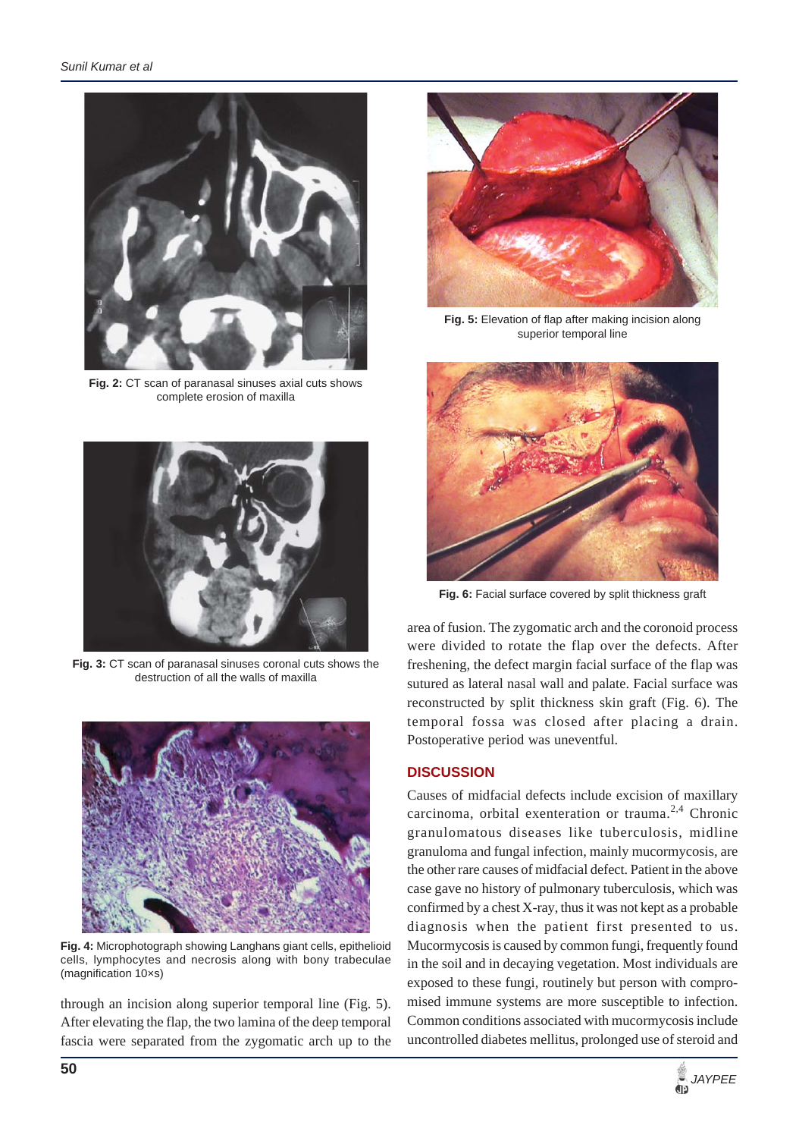

**Fig. 2:** CT scan of paranasal sinuses axial cuts shows complete erosion of maxilla



**Fig. 3:** CT scan of paranasal sinuses coronal cuts shows the destruction of all the walls of maxilla



**Fig. 4:** Microphotograph showing Langhans giant cells, epithelioid cells, lymphocytes and necrosis along with bony trabeculae (magnification 10×s)

through an incision along superior temporal line (Fig. 5). After elevating the flap, the two lamina of the deep temporal fascia were separated from the zygomatic arch up to the



**Fig. 5:** Elevation of flap after making incision along superior temporal line



**Fig. 6:** Facial surface covered by split thickness graft

area of fusion. The zygomatic arch and the coronoid process were divided to rotate the flap over the defects. After freshening, the defect margin facial surface of the flap was sutured as lateral nasal wall and palate. Facial surface was reconstructed by split thickness skin graft (Fig. 6). The temporal fossa was closed after placing a drain. Postoperative period was uneventful.

## **DISCUSSION**

Causes of midfacial defects include excision of maxillary carcinoma, orbital exenteration or trauma.<sup>2,4</sup> Chronic granulomatous diseases like tuberculosis, midline granuloma and fungal infection, mainly mucormycosis, are the other rare causes of midfacial defect. Patient in the above case gave no history of pulmonary tuberculosis, which was confirmed by a chest X-ray, thus it was not kept as a probable diagnosis when the patient first presented to us. Mucormycosis is caused by common fungi, frequently found in the soil and in decaying vegetation. Most individuals are exposed to these fungi, routinely but person with compromised immune systems are more susceptible to infection. Common conditions associated with mucormycosis include uncontrolled diabetes mellitus, prolonged use of steroid and

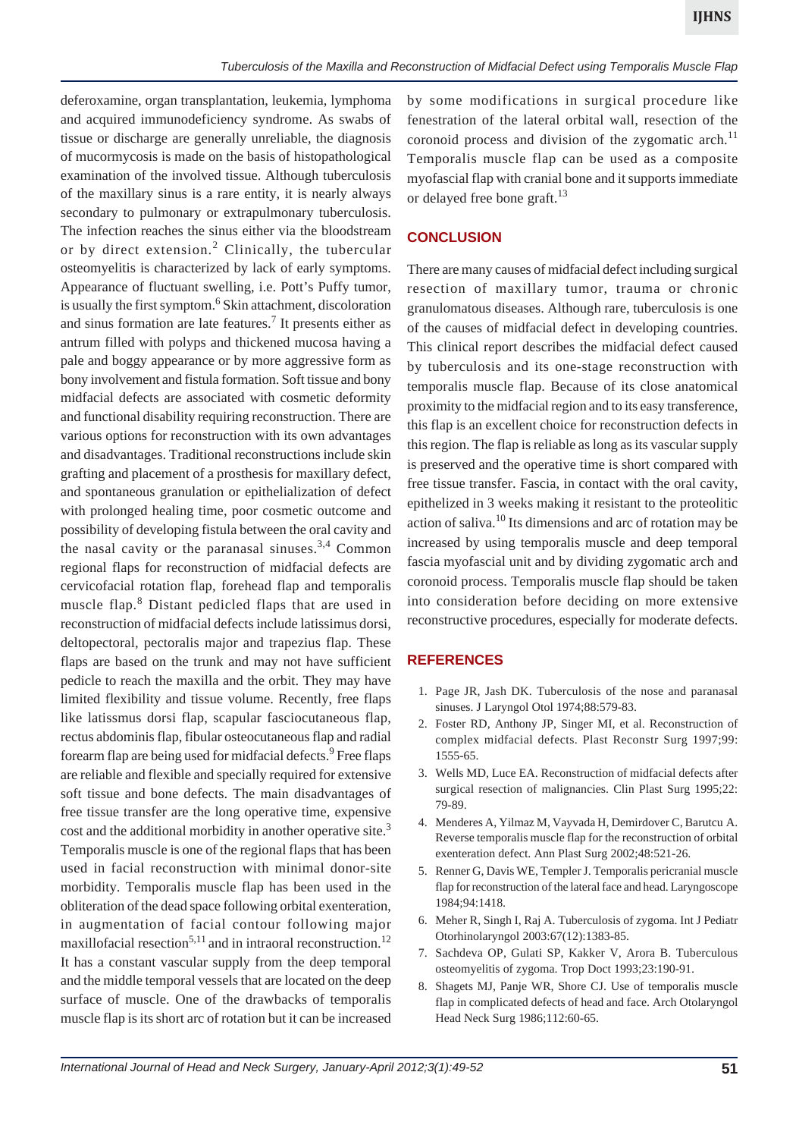deferoxamine, organ transplantation, leukemia, lymphoma and acquired immunodeficiency syndrome. As swabs of tissue or discharge are generally unreliable, the diagnosis of mucormycosis is made on the basis of histopathological examination of the involved tissue. Although tuberculosis of the maxillary sinus is a rare entity, it is nearly always secondary to pulmonary or extrapulmonary tuberculosis. The infection reaches the sinus either via the bloodstream or by direct extension.<sup>2</sup> Clinically, the tubercular osteomyelitis is characterized by lack of early symptoms. Appearance of fluctuant swelling, i.e. Pott's Puffy tumor, is usually the first symptom.<sup>6</sup> Skin attachment, discoloration and sinus formation are late features.<sup>7</sup> It presents either as antrum filled with polyps and thickened mucosa having a pale and boggy appearance or by more aggressive form as bony involvement and fistula formation. Soft tissue and bony midfacial defects are associated with cosmetic deformity and functional disability requiring reconstruction. There are various options for reconstruction with its own advantages and disadvantages. Traditional reconstructions include skin grafting and placement of a prosthesis for maxillary defect, and spontaneous granulation or epithelialization of defect with prolonged healing time, poor cosmetic outcome and possibility of developing fistula between the oral cavity and the nasal cavity or the paranasal sinuses.<sup>3,4</sup> Common regional flaps for reconstruction of midfacial defects are cervicofacial rotation flap, forehead flap and temporalis muscle flap.<sup>8</sup> Distant pedicled flaps that are used in reconstruction of midfacial defects include latissimus dorsi, deltopectoral, pectoralis major and trapezius flap. These flaps are based on the trunk and may not have sufficient pedicle to reach the maxilla and the orbit. They may have limited flexibility and tissue volume. Recently, free flaps like latissmus dorsi flap, scapular fasciocutaneous flap, rectus abdominis flap, fibular osteocutaneous flap and radial forearm flap are being used for midfacial defects.<sup>9</sup> Free flaps are reliable and flexible and specially required for extensive soft tissue and bone defects. The main disadvantages of free tissue transfer are the long operative time, expensive cost and the additional morbidity in another operative site.<sup>3</sup> Temporalis muscle is one of the regional flaps that has been used in facial reconstruction with minimal donor-site morbidity. Temporalis muscle flap has been used in the obliteration of the dead space following orbital exenteration, in augmentation of facial contour following major maxillofacial resection<sup>5,11</sup> and in intraoral reconstruction.<sup>12</sup> It has a constant vascular supply from the deep temporal and the middle temporal vessels that are located on the deep surface of muscle. One of the drawbacks of temporalis muscle flap is its short arc of rotation but it can be increased by some modifications in surgical procedure like fenestration of the lateral orbital wall, resection of the coronoid process and division of the zygomatic arch. $^{11}$ Temporalis muscle flap can be used as a composite myofascial flap with cranial bone and it supports immediate or delayed free bone graft.<sup>13</sup>

## **CONCLUSION**

There are many causes of midfacial defect including surgical resection of maxillary tumor, trauma or chronic granulomatous diseases. Although rare, tuberculosis is one of the causes of midfacial defect in developing countries. This clinical report describes the midfacial defect caused by tuberculosis and its one-stage reconstruction with temporalis muscle flap. Because of its close anatomical proximity to the midfacial region and to its easy transference, this flap is an excellent choice for reconstruction defects in this region. The flap is reliable as long as its vascular supply is preserved and the operative time is short compared with free tissue transfer. Fascia, in contact with the oral cavity, epithelized in 3 weeks making it resistant to the proteolitic action of saliva.10 Its dimensions and arc of rotation may be increased by using temporalis muscle and deep temporal fascia myofascial unit and by dividing zygomatic arch and coronoid process. Temporalis muscle flap should be taken into consideration before deciding on more extensive reconstructive procedures, especially for moderate defects.

#### **REFERENCES**

- 1. Page JR, Jash DK. Tuberculosis of the nose and paranasal sinuses. J Laryngol Otol 1974;88:579-83.
- 2. Foster RD, Anthony JP, Singer MI, et al. Reconstruction of complex midfacial defects. Plast Reconstr Surg 1997;99: 1555-65.
- 3. Wells MD, Luce EA. Reconstruction of midfacial defects after surgical resection of malignancies. Clin Plast Surg 1995;22: 79-89.
- 4. Menderes A, Yilmaz M, Vayvada H, Demirdover C, Barutcu A. Reverse temporalis muscle flap for the reconstruction of orbital exenteration defect. Ann Plast Surg 2002;48:521-26.
- 5. Renner G, Davis WE, Templer J. Temporalis pericranial muscle flap for reconstruction of the lateral face and head. Laryngoscope 1984;94:1418.
- 6. Meher R, Singh I, Raj A. Tuberculosis of zygoma. Int J Pediatr Otorhinolaryngol 2003:67(12):1383-85.
- 7. Sachdeva OP, Gulati SP, Kakker V, Arora B. Tuberculous osteomyelitis of zygoma. Trop Doct 1993;23:190-91.
- 8. Shagets MJ, Panje WR, Shore CJ. Use of temporalis muscle flap in complicated defects of head and face. Arch Otolaryngol Head Neck Surg 1986;112:60-65.